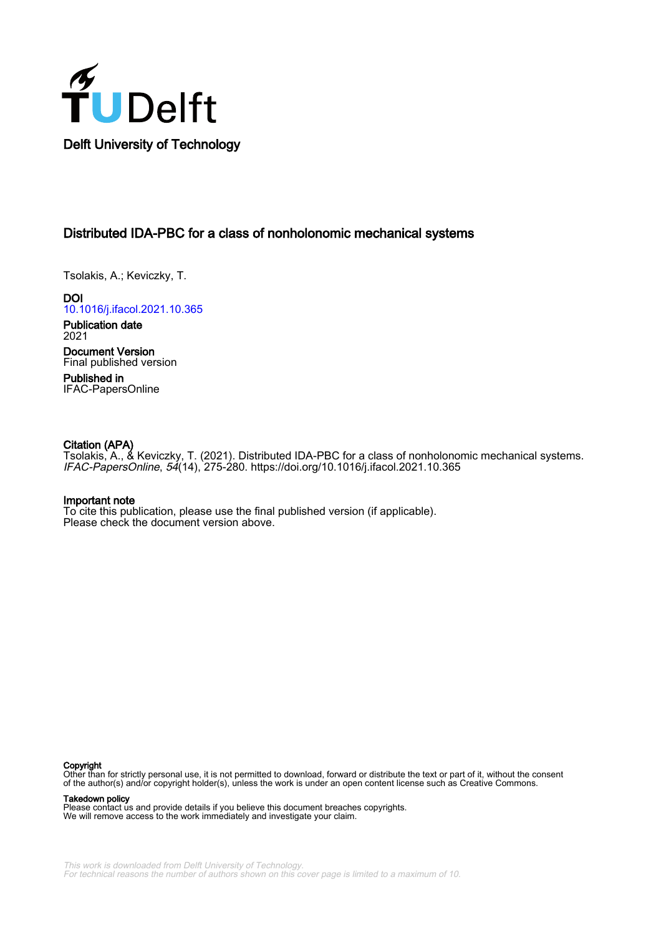

# Distributed IDA-PBC for a class of nonholonomic mechanical systems

Tsolakis, A.; Keviczky, T.

**DOI** [10.1016/j.ifacol.2021.10.365](https://doi.org/10.1016/j.ifacol.2021.10.365)

Publication date 2021 Document Version

Final published version Published in

IFAC-PapersOnline

## Citation (APA)

Tsolakis, A., & Keviczky, T. (2021). Distributed IDA-PBC for a class of nonholonomic mechanical systems. IFAC-PapersOnline, 54(14), 275-280. <https://doi.org/10.1016/j.ifacol.2021.10.365>

## Important note

To cite this publication, please use the final published version (if applicable). Please check the document version above.

#### Copyright

Other than for strictly personal use, it is not permitted to download, forward or distribute the text or part of it, without the consent of the author(s) and/or copyright holder(s), unless the work is under an open content license such as Creative Commons.

Takedown policy

Please contact us and provide details if you believe this document breaches copyrights. We will remove access to the work immediately and investigate your claim.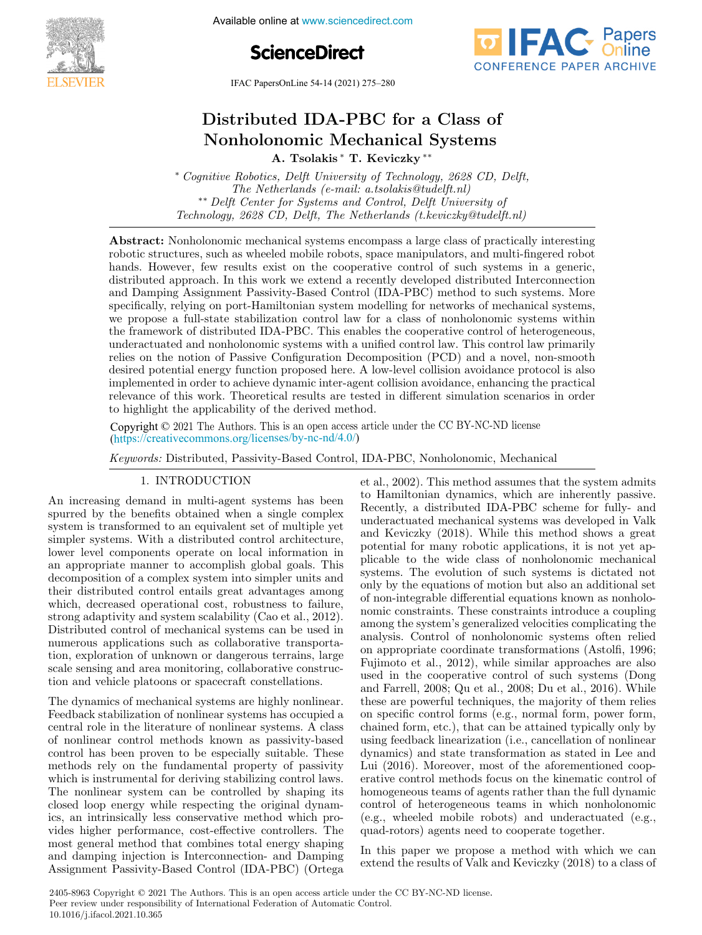

Available online at www.sciencedirect.com





IFAC PapersOnLine  $54-14$  (2021) 275–280

#### $\mathbf{D}$ Distributed IDA-PBC for a Class o A. Tsolakis ∗ T. Keviczky ∗∗ A. Tsolakis ∗ T. Keviczky ∗∗ Nonholonomic Mechanical Systems A. Tsolakis ∗ T. Keviczky ∗∗ Nonholonomic Mechanical Systems A. ISOlakis ↑ L. Keviczky ∗ A. Tsolakis ∗ T. Keviczky ∗∗ A. Tsolakis ∗ T. Keviczky ∗∗  $D'$  is the IDA-PBC for a Class of a Class of  $\overline{C}$ Distributed IDA-PBC for a Class of

The Netherlands (e-mail: a.tsolakis@tudelft.nl) <sup>2</sup><sup>24</sup> Delft Center for Systems and Control, Delft University of ∗∗ Delft Center for Systems and Control, Delft University of Technology, 2628 CD, Delft, The Netherlands (t.keviczky@tudelft.nl) \* Cognitive Robotics, Delft University of Technology, 2628 CD, Delft,  $\begin{bmatrix} 0 & 0 & 0 \\ 0 & 0 & 0 \end{bmatrix}$  $\mathcal{L}_{\mathcal{F}}(y)$  and  $\mathcal{L}_{\mathcal{F}}(y)$  and  $\mathcal{L}_{\mathcal{F}}(y)$  of  $\mathcal{L}_{\mathcal{F}}(y)$  of  $\mathcal{L}_{\mathcal{F}}(y)$  of  $\mathcal{L}_{\mathcal{F}}(y)$ 

robotic structures, such as wheeled mobile robots, space manipulators, and multi-fingered robot hands. However, few results exist on the cooperative control of such systems in a generic, distributed approach. In this work we extend a recently developed distributed Interconnection and Damping Assignment Passivity-Based Control (IDA-PBC) method to such systems. More specifically, relying on port-Hamiltonian system modelling for networks of mechanical systems, we propose a full-state stabilization control law for a class of nonholonomic systems within the framework of distributed IDA-PBC. This enables the cooperative control of heterogeneous, underactuated and nonholonomic systems with a unified control law. This control law primarily relies on the notion of Passive Configuration Decomposition (PCD) and a novel, non-smooth relies on the notion of Passive Configuration Decomposition (PCD) and a novel, non-smooth<br>desired potential energy function proposed here. A low-level collision avoidance protocol is also desired potential energy function proposed here. A low-level collision avoidance protocol is also<br>implemented in order to achieve dynamic inter-agent collision avoidance, enhancing the practical relevance of this work. Theoretical results are tested in different simulation scenarios in order to highlight the applicability of the derived method. Distributed IDA-PBC for a Class of Nonholonomic Mechanical Systems  $\lambda$ . Totals rely and  $\lambda$ . The fundamental Systems rely on the fundamental property of the passivity of passivity of passivity of passivity of passivity Technology, 2628 CD, Delft, The Netherlands (t.keviczky@tudelft.nl) Abstract: Nonholonomic mechanical systems encompass a large class of practically interesting to highlight the applicability of the derived method.

Copyright © 2021 The Authors. This is an open access article under the CC BY-NC-ND license  $(\text{https://creativecommons.org/licenses/by-nc-nd/4.0/">\text{/}0)$ Copyright  $\odot$  2021 The Authors. This is an open access article under the CC BY-NC-ND license

Keywords: Distributed, Passivity-Based Control, IDA-PBC, Nonholonomic, Mechanical 1. International control of the second control of the second control of the second control of the second control of et al., 2002). This method as summer that the system assumes that the system admits that the system admits tha Keywords: Distributed, Passivity-Based Control, IDA-PBC, Nonholonomic, Mechanical

#### 1. INTRODUCTION 1. INTRODUCTION 1. INTRODUCTION 1. INTRODUCTION 1. INTRODUCTION

An increasing demand in multi-agent systems has been spurred by the benefits obtained when a single complex<br>system is transformed to an equivalent set of multiple yet<br>simpler systems. With a distributed control architecture. system is transformed to an equivalent set of multiple yet<br>simpler systems. With a distributed control architecture, simpler systems. With a distributed control architecture, lower level components operate on local information in<br>lower level components operate on local information in an appropriate manner to accomplish global goals. This decomposition of a complex system into simpler units and their distributed control entails great advantages among<br>which, decreased operational cost, robustness to failure, which, decreased operational cost, robustness to failure,<br>which, decreased operational cost, robustness to failure, strong adaptivity and system scalability (Cao et al., 2012).<br>Distributed control of mechanical systems can be used in Distributed control of mechanical systems can be used in Distributed control of incommental systems can be used in<br>numerous applications such as collaborative transportation, exploration of unknown or dangerous terrains, large scale sensing and area monitoring, collaborative construction and vehicle platoons or spacecraft constellations. spurred by the benefits obtained when a single complex dia appropriate mainter to accomplish global goals. This which, decreased operational cost, robustness to landre,<br>strong adaptivity and system scalability (Cao et al., 2012). An increasing demand in multi-agent systems has been system is transformed to an equivalent set of multiple yet<br>simpler systems. With a distributed control architecture, An increasing demand in multi-agent systems has been tion and vehicle platoons or spacecraft constellations. tion, and vohicle plateons or speceraft constallations ston and venicie platoons or spacecraft constenations.

The dynamics of mechanical systems are mgmy nonlinear.<br>Feedback stabilization of nonlinear systems has occupied a Feedback stabilization of nonlinear systems has occupied a central role in the literature of nonlinear systems. A class of nonlinear control methods known as passivity-based control has been proven to be especially suitable. These methods rely on the fundamental property of passivity which is instrumental for deriving stabilizing control laws.<br>The maillions control are he controlled by charing its The nonlinear system can be controlled by shaping its closed loop energy while respecting the original dynamics, an intrinsically less conservative method which provides higher performance, cost-effective controllers. The most general method that combines total energy shaping and damping injection is Interconnection- and Damping Assignment Passivity-Based Control (IDA-PBC) (Ortega Assignment Passivity-Based Control (IDA-PBC) (Ortega and damping injection is Interconnection- and Damping and damping injection is Interconnection- and Damping The dynamics of mechanical systems are highly nonlinear. of nonlinear control methods known as passivity-based methods Fery on the randamental property of passivity,<br>which is instrumental for deriving stabilizing control laws. closed loop energy while respecting the original dynam-The dynamics of mechanical systems are highly nonlinear. most general method that combines total energy shaping Assignment Passivity-Based Control (IDA-PBC) (Ortega and damping injection to interconnection and Bamping and distribution is and dependence of  $\frac{1}{2}$  and  $\frac{1}{2}$  and  $\frac{1}{2}$  and  $\frac{1}{2}$  and  $\frac{1}{2}$  and  $\frac{1}{2}$  and  $\frac{1}{2}$  and  $\frac{1}{2}$  and  $\frac{1}{2}$  and  $\frac{1}{2}$  and  $\frac{1}{2}$  and  $\frac{1}{2}$  and  $\frac{1}{2}$  and  $\$ 

et al., 2002). This method assumes that the system admits to Hamiltonian dynamics, which are inherently passive. Recently, a distributed IDA-PBC scheme for fully- and Recently, a distributed IDA-PBC scheme for fully- and<br>underactuated mechanical systems was developed in Valk<br>and Koviezky (2018). While this method shows a great and Keviczky (2018). While this method shows a great potential for many robotic applications, it is not yet applicable to the wide class of nonholonomic mechanical systems. The evolution of such systems is dictated not systems. The evolution of such systems is dictated not<br>only by the equations of motion but also an additional set<br>of non-integrable differential equations linews as perhable only by the equations of motion but also an additional set<br>of non-integrable differential equations known as nonholonon-integrable untertaint equations known as nonnoto-<br>nomic constraints. These constraints introduce a coupling among the system's generalized velocities complicating the among the system s generalized velocities complicating the<br>analysis. Control of nonholonomic systems often relied analysis. Control of homotonomic systems often reflection appropriate coordinate transformations (Astolfi, 1996; on appropriate coordinate transformations (Astoni, 1990,<br>Fujimoto et al., 2012), while similar approaches are also Fujimoto et al., 2012), while similar approaches are also<br>used in the cooperative control of such systems (Dong used in the cooperative control of such systems (Dong<br>and Farrell, 2008; Qu et al., 2008; Du et al., 2016). While these are powerful techniques, the majority of them relies these are powerful techniques, the majority of them relies<br>on specific control forms (e.g., normal form, power form, on specific control forms (e.g., normal form, power form,<br>chained form, etc.), that can be attained typically only by dialities form, etc.), that can be attained typicarly only by<br>using feedback linearization (i.e., cancellation of nonlinear dynamics) and state transformation as stated in Lee and Lui (2016). Moreover, most of the aforementioned coop-Lui (2010). Moreover, most of the aforementioned coop-<br>erative control methods focus on the kinematic control of homogeneous teams of agents rather than the full dynamic control of heterogeneous teams in which nonholonomic<br>control of heterogeneous teams in which nonholonomic (e.g., wheeled mobile robots) and underactuated (e.g., quad-rotors) agents need to cooperate together. quad-rotors) agents need to cooperate together. (e.g., wheeled mobile robots) and underactuated (e.g., quad-rotors) agents need to cooperate together. 1. INTRODUCTION et al.<br>
An increasing demand in multi-agent systems has been becomen a Reconnection- and Damping<br>spurred by the benefits obsidered when a single complex incredibuted IDA-PBC scheme for fully-and<br>systems is quad-rotors) agents need to cooperate together. quad-rotors) agents need to cooperate together. (e.g., wheeled mobile robots) and underactuated (e.g.,

In this paper we propose a method with which we can extend the results of Valk and Keviczky (2018) to a class of extend the results of Valk and Keviczky (2018) to a class of In this paper we propose a method with which we can extend the results of Valk and Keviczky (2018) to a class of extend the results of Valk and Keviczky (2018) to a class of extend the results of Valk and Keviczky (2018) to a class of In this paper we propose a method with which we can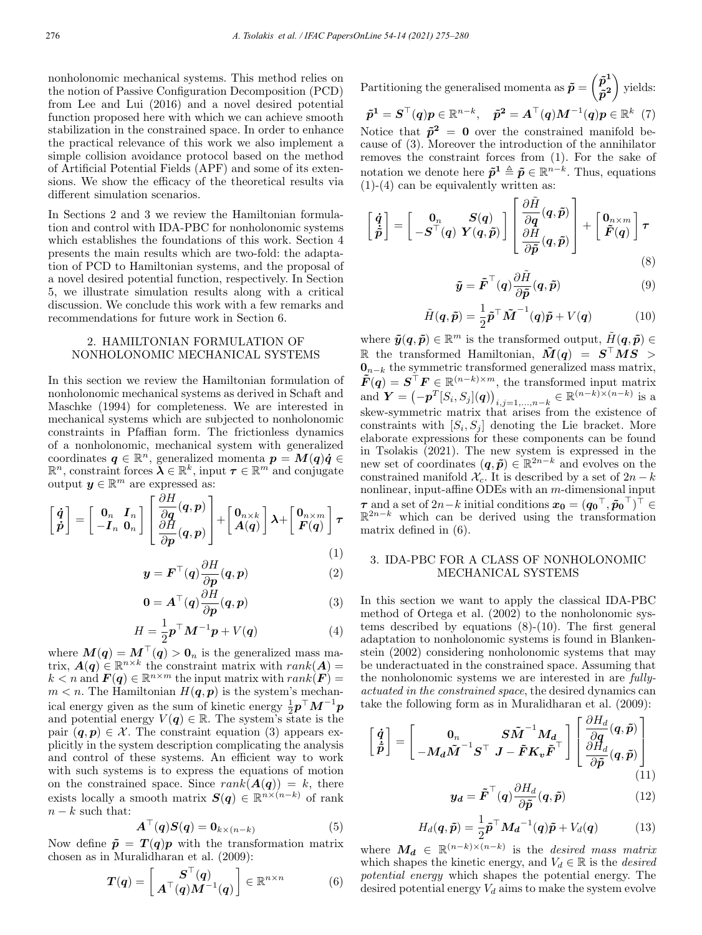nonholonomic mechanical systems. This method relies on the notion of Passive Configuration Decomposition (PCD) from Lee and Lui (2016) and a novel desired potential function proposed here with which we can achieve smooth stabilization in the constrained space. In order to enhance the practical relevance of this work we also implement a simple collision avoidance protocol based on the method of Artificial Potential Fields (APF) and some of its extensions. We show the efficacy of the theoretical results via different simulation scenarios.

In Sections 2 and 3 we review the Hamiltonian formulation and control with IDA-PBC for nonholonomic systems which establishes the foundations of this work. Section 4 presents the main results which are two-fold: the adaptation of PCD to Hamiltonian systems, and the proposal of a novel desired potential function, respectively. In Section 5, we illustrate simulation results along with a critical discussion. We conclude this work with a few remarks and recommendations for future work in Section 6.

#### 2. HAMILTONIAN FORMULATION OF NONHOLONOMIC MECHANICAL SYSTEMS

In this section we review the Hamiltonian formulation of nonholonomic mechanical systems as derived in Schaft and Maschke (1994) for completeness. We are interested in mechanical systems which are subjected to nonholonomic constraints in Pfaffian form. The frictionless dynamics of a nonholonomic, mechanical system with generalized coordinates  $q \in \mathbb{R}^n$ , generalized momenta  $p = M(q)\dot{q} \in$  $\mathbb{R}^n$ , constraint forces  $\lambda \in \mathbb{R}^k$ , input  $\tau \in \mathbb{R}^m$  and conjugate output  $y \in \mathbb{R}^m$  are expressed as:

$$
\begin{bmatrix} \dot{q} \\ \dot{p} \end{bmatrix} = \begin{bmatrix} 0_n & I_n \\ -I_n & 0_n \end{bmatrix} \begin{bmatrix} \frac{\partial H}{\partial q}(q, p) \\ \frac{\partial H}{\partial p}(q, p) \end{bmatrix} + \begin{bmatrix} 0_{n \times k} \\ A(q) \end{bmatrix} \lambda + \begin{bmatrix} 0_{n \times m} \\ F(q) \end{bmatrix} \tau
$$
\n(1)

$$
\mathbf{y} = \boldsymbol{F}^{\top}(\boldsymbol{q}) \frac{\partial H}{\partial \boldsymbol{p}}(\boldsymbol{q}, \boldsymbol{p}) \tag{2}
$$

$$
\mathbf{0} = \mathbf{A}^{\top}(\mathbf{q}) \frac{\partial H}{\partial \mathbf{p}}(\mathbf{q}, \mathbf{p})
$$
 (3)

$$
H = \frac{1}{2} \boldsymbol{p}^{\top} \boldsymbol{M}^{-1} \boldsymbol{p} + V(\boldsymbol{q}) \tag{4}
$$

where  $M(q) = M^+(q) > 0_n$  is the generalized mass matrix,  $\mathbf{A(q)} \in \mathbb{R}^{n \times k}$  the constraint matrix with  $rank(\mathbf{A}) =$  $k < n$  and  $\mathbf{F}(q) \in \mathbb{R}^{n \times m}$  the input matrix with  $rank(\mathbf{F}) =$  $m < n$ . The Hamiltonian  $H(q, p)$  is the system's mechanical energy given as the sum of kinetic energy  $\frac{1}{2}p^{\top}M^{-1}p$ and potential energy  $V(q) \in \mathbb{R}$ . The system's state is the pair  $(q, p) \in \mathcal{X}$ . The constraint equation (3) appears explicitly in the system description complicating the analysis and control of these systems. An efficient way to work with such systems is to express the equations of motion on the constrained space. Since  $rank(A(q)) = k$ , there exists locally a smooth matrix  $S(q) \in \mathbb{R}^{n \times (n-k)}$  of rank  $n - k$  such that:

$$
\mathbf{A}^\top(\mathbf{q})\mathbf{S}(\mathbf{q}) = \mathbf{0}_{k \times (n-k)} \tag{5}
$$

Now define  $\tilde{p} = T(q)p$  with the transformation matrix chosen as in Muralidharan et al. (2009):

$$
\boldsymbol{T}(\boldsymbol{q}) = \begin{bmatrix} \boldsymbol{S}^{\top}(\boldsymbol{q}) \\ \boldsymbol{A}^{\top}(\boldsymbol{q})\boldsymbol{M}^{-1}(\boldsymbol{q}) \end{bmatrix} \in \mathbb{R}^{n \times n} \tag{6}
$$

Partitioning the generalised momenta as  $\tilde{p} =$  $\left(\tilde{p}^{1}\right)$  $\tilde{p}^2$  $\setminus$ yields:  $\tilde{p}^1 = \overline{S}^\top(q)p \in \mathbb{R}^{n-k}, \quad \tilde{p}^2 = \overline{A}^\top(q)M^{-1}(q)p \in \mathbb{R}^k \;\; (7)$ Notice that  $\tilde{p}^2 = 0$  over the constrained manifold because of (3). Moreover the introduction of the annihilator

removes the constraint forces from (1). For the sake of notation we denote here  $\tilde{p}^1 \triangleq \tilde{p} \in \mathbb{R}^{n-k}$ . Thus, equations  $(1)-(4)$  can be equivalently written as:

$$
\begin{bmatrix} \dot{q} \\ \dot{\tilde{p}} \end{bmatrix} = \begin{bmatrix} 0_n & S(q) \\ -S^{\top}(q) & Y(q, \tilde{p}) \end{bmatrix} \begin{bmatrix} \frac{\partial \tilde{H}}{\partial q}(q, \tilde{p}) \\ \frac{\partial H}{\partial \tilde{p}}(q, \tilde{p}) \end{bmatrix} + \begin{bmatrix} 0_{n \times m} \\ \tilde{F}(q) \end{bmatrix} \tau
$$
\n(8)

$$
\tilde{\boldsymbol{y}} = \tilde{\boldsymbol{F}}^{\top}(\boldsymbol{q}) \frac{\partial \tilde{H}}{\partial \tilde{\boldsymbol{p}}}(\boldsymbol{q}, \tilde{\boldsymbol{p}}) \tag{9}
$$

$$
\tilde{H}(\boldsymbol{q}, \tilde{\boldsymbol{p}}) = \frac{1}{2} \tilde{\boldsymbol{p}}^\top \tilde{\boldsymbol{M}}^{-1}(\boldsymbol{q}) \tilde{\boldsymbol{p}} + V(\boldsymbol{q}) \tag{10}
$$

where  $\tilde{y}(q, \tilde{p}) \in \mathbb{R}^m$  is the transformed output,  $\tilde{H}(q, \tilde{p}) \in$ R the transformed Hamiltonian,  $\tilde{M}(q) = S^{\top}MS >$  $\mathbf{0}_{n-k}$  the symmetric transformed generalized mass matrix,  $\tilde{F}(q) = \mathbf{S}^{\top} \mathbf{F} \in \mathbb{R}^{(n-k)\times m}$ , the transformed input matrix and  $\mathbf{Y} = (-\mathbf{p}^T [S_i, S_j](\mathbf{q}))_{i,j=1,...,n-k} \in \mathbb{R}^{(n-k)\times (n-k)}$  is a skew-symmetric matrix that arises from the existence of constraints with  $[S_i, S_j]$  denoting the Lie bracket. More elaborate expressions for these components can be found in Tsolakis (2021). The new system is expressed in the new set of coordinates  $(q, \tilde{p}) \in \mathbb{R}^{2n-k}$  and evolves on the constrained manifold  $\mathcal{X}_c$ . It is described by a set of  $2n - k$ nonlinear, input-affine ODEs with an m-dimensional input  $\tau$  and a set of 2n – k initial conditions  $x_0 = (q_0^+, \tilde{p}_0^+)^\top \in$  $\mathbb{R}^{2n-k}$  which can be derived using the transformation matrix defined in (6).

#### 3. IDA-PBC FOR A CLASS OF NONHOLONOMIC MECHANICAL SYSTEMS

In this section we want to apply the classical IDA-PBC method of Ortega et al. (2002) to the nonholonomic systems described by equations (8)-(10). The first general adaptation to nonholonomic systems is found in Blankenstein (2002) considering nonholonomic systems that may be underactuated in the constrained space. Assuming that the nonholonomic systems we are interested in are fullyactuated in the constrained space, the desired dynamics can take the following form as in Muralidharan et al. (2009):

$$
\begin{bmatrix} \dot{q} \\ \dot{\tilde{p}} \end{bmatrix} = \begin{bmatrix} 0_n & S\tilde{M}^{-1}M_d \\ -M_d\tilde{M}^{-1}S^{\top} & J - \tilde{F}K_v\tilde{F}^{\top} \end{bmatrix} \begin{bmatrix} \frac{\partial H_d}{\partial q}(q, \tilde{p}) \\ \frac{\partial H_d}{\partial \tilde{p}}(q, \tilde{p}) \\ \frac{\partial H_d}{\partial \tilde{p}}(q, \tilde{p}) \end{bmatrix}
$$
\n(11)

$$
\mathbf{y_d} = \tilde{\boldsymbol{F}}^{\top}(\boldsymbol{q}) \frac{\partial H_d}{\partial \tilde{\boldsymbol{p}}}(\boldsymbol{q}, \tilde{\boldsymbol{p}})
$$
(12)

$$
H_d(\boldsymbol{q}, \tilde{\boldsymbol{p}}) = \frac{1}{2} \tilde{\boldsymbol{p}}^\top \boldsymbol{M_d}^{-1}(\boldsymbol{q}) \tilde{\boldsymbol{p}} + V_d(\boldsymbol{q}) \tag{13}
$$

where  $M_d \in \mathbb{R}^{(n-k)\times (n-k)}$  is the *desired mass matrix* which shapes the kinetic energy, and  $V_d \in \mathbb{R}$  is the *desired* potential energy which shapes the potential energy. The desired potential energy  $V_d$  aims to make the system evolve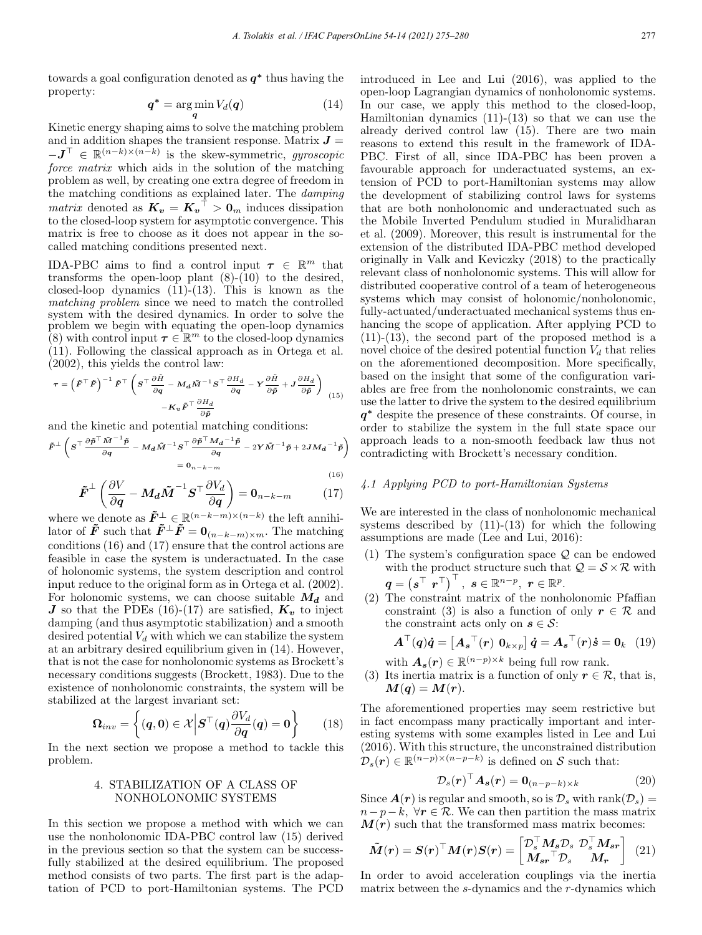towards a goal configuration denoted as  $q^*$  thus having the property:

$$
\boldsymbol{q}^* = \arg\min_{\boldsymbol{q}} V_d(\boldsymbol{q}) \tag{14}
$$

Kinetic energy shaping aims to solve the matching problem and in addition shapes the transient response. Matrix  $J =$  $-\boldsymbol{J}^{\top} \in \mathbb{R}^{(n-k)\times (n-k)}$  is the skew-symmetric, gyroscopic force matrix which aids in the solution of the matching problem as well, by creating one extra degree of freedom in the matching conditions as explained later. The damping matrix denoted as  $K_v = K_v$ <sup> $\rightarrow$ </sup>  $\rightarrow$  0<sub>m</sub> induces dissipation to the closed-loop system for asymptotic convergence. This matrix is free to choose as it does not appear in the socalled matching conditions presented next.

IDA-PBC aims to find a control input  $\tau \in \mathbb{R}^m$  that transforms the open-loop plant  $(8)-(10)$  to the desired, closed-loop dynamics  $(11)-(13)$ . This is known as the matching problem since we need to match the controlled system with the desired dynamics. In order to solve the problem we begin with equating the open-loop dynamics (8) with control input  $\tau \in \mathbb{R}^m$  to the closed-loop dynamics (11). Following the classical approach as in Ortega et al. (2002), this yields the control law:

$$
\boldsymbol{\tau} = \left(\tilde{\boldsymbol{F}}^{\top}\tilde{\boldsymbol{F}}\right)^{-1}\tilde{\boldsymbol{F}}^{\top}\left(\boldsymbol{S}^{\top}\frac{\partial\tilde{H}}{\partial\boldsymbol{q}} - \boldsymbol{M}_{\boldsymbol{d}}\tilde{\boldsymbol{M}}^{-1}\boldsymbol{S}^{\top}\frac{\partial\boldsymbol{H}_{\boldsymbol{d}}}{\partial\boldsymbol{q}} - \boldsymbol{Y}\frac{\partial\tilde{H}}{\partial\tilde{\boldsymbol{p}}} + \boldsymbol{J}\frac{\partial\boldsymbol{H}_{\boldsymbol{d}}}{\partial\tilde{\boldsymbol{p}}}\right)_{(15)}
$$

$$
-\boldsymbol{K}_{\boldsymbol{v}}\tilde{\boldsymbol{F}}^{\top}\frac{\partial\boldsymbol{H}_{\boldsymbol{d}}}{\partial\tilde{\boldsymbol{p}}}
$$

and the kinetic and potential matching conditions:

$$
\tilde{F}^{\perp} \left( S^{\top} \frac{\partial \tilde{p}^{\top} \tilde{M}^{-1} \tilde{p}}{\partial q} - M_d \tilde{M}^{-1} S^{\top} \frac{\partial \tilde{p}^{\top} M_d^{-1} \tilde{p}}{\partial q} - 2 Y \tilde{M}^{-1} \tilde{p} + 2 J M_d^{-1} \tilde{p} \right)
$$

$$
= 0_{n-k-m}
$$

$$
\tilde{F}^{\perp} \left( \frac{\partial V}{\partial q} - M_d \tilde{M}^{-1} S^{\top} \frac{\partial V_d}{\partial q} \right) = 0_{n-k-m}
$$
\n(17)

where we denote as  $\tilde{F}^{\perp} \in \mathbb{R}^{(n-k-m)\times(n-k)}$  the left annihilator of  $\tilde{F}$  such that  $\tilde{F}^{\perp} \tilde{F} = \mathbf{0}_{(n-k-m)\times m}$ . The matching conditions (16) and (17) ensure that the control actions are feasible in case the system is underactuated. In the case of holonomic systems, the system description and control input reduce to the original form as in Ortega et al. (2002). For holonomic systems, we can choose suitable  $M_d$  and J so that the PDEs (16)-(17) are satisfied,  $K_v$  to inject damping (and thus asymptotic stabilization) and a smooth desired potential  $V_d$  with which we can stabilize the system at an arbitrary desired equilibrium given in (14). However, that is not the case for nonholonomic systems as Brockett's necessary conditions suggests (Brockett, 1983). Due to the existence of nonholonomic constraints, the system will be stabilized at the largest invariant set:

$$
\Omega_{inv} = \left\{ (q, 0) \in \mathcal{X} \middle| S^\top(q) \frac{\partial V_d}{\partial q}(q) = 0 \right\} \qquad (18)
$$

In the next section we propose a method to tackle this problem.

#### 4. STABILIZATION OF A CLASS OF NONHOLONOMIC SYSTEMS

In this section we propose a method with which we can use the nonholonomic IDA-PBC control law (15) derived in the previous section so that the system can be successfully stabilized at the desired equilibrium. The proposed method consists of two parts. The first part is the adaptation of PCD to port-Hamiltonian systems. The PCD introduced in Lee and Lui (2016), was applied to the open-loop Lagrangian dynamics of nonholonomic systems. In our case, we apply this method to the closed-loop, Hamiltonian dynamics  $(11)-(13)$  so that we can use the already derived control law (15). There are two main reasons to extend this result in the framework of IDA-PBC. First of all, since IDA-PBC has been proven a favourable approach for underactuated systems, an extension of PCD to port-Hamiltonian systems may allow the development of stabilizing control laws for systems that are both nonholonomic and underactuated such as the Mobile Inverted Pendulum studied in Muralidharan et al. (2009). Moreover, this result is instrumental for the extension of the distributed IDA-PBC method developed originally in Valk and Keviczky (2018) to the practically relevant class of nonholonomic systems. This will allow for distributed cooperative control of a team of heterogeneous systems which may consist of holonomic/nonholonomic, fully-actuated/underactuated mechanical systems thus enhancing the scope of application. After applying PCD to (11)-(13), the second part of the proposed method is a novel choice of the desired potential function  $V_d$  that relies on the aforementioned decomposition. More specifically, based on the insight that some of the configuration variables are free from the nonholonomic constraints, we can use the latter to drive the system to the desired equilibrium q<sup>∗</sup> despite the presence of these constraints. Of course, in order to stabilize the system in the full state space our approach leads to a non-smooth feedback law thus not contradicting with Brockett's necessary condition.

### 4.1 Applying PCD to port-Hamiltonian Systems

We are interested in the class of nonholonomic mechanical systems described by  $(11)-(13)$  for which the following assumptions are made (Lee and Lui, 2016):

- (1) The system's configuration space  $\mathcal{Q}$  can be endowed with the product structure such that  $Q = \mathcal{S} \times \mathcal{R}$  with  $\boldsymbol{q} = \left( \boldsymbol{s}^{\top} \; \boldsymbol{r}^{\top} \right)^{\top}, \; \boldsymbol{s} \in \mathbb{R}^{n-p}, \; \boldsymbol{r} \in \mathbb{R}^{p}.$
- (2) The constraint matrix of the nonholonomic Pfaffian constraint (3) is also a function of only  $r \in \mathcal{R}$  and the constraint acts only on  $s \in \mathcal{S}$ :

$$
\mathbf{A}^{\top}(\mathbf{q})\dot{\mathbf{q}} = \left[\mathbf{A_s}^{\top}(\mathbf{r}) \ \mathbf{0}_{k \times p}\right] \dot{\mathbf{q}} = \mathbf{A_s}^{\top}(\mathbf{r}) \dot{\mathbf{s}} = \mathbf{0}_k \quad (19)
$$

- with  $A_s(r) \in \mathbb{R}^{(n-p)\times k}$  being full row rank.
- (3) Its inertia matrix is a function of only  $r \in \mathcal{R}$ , that is,  $M(q) = M(r)$ .

The aforementioned properties may seem restrictive but in fact encompass many practically important and interesting systems with some examples listed in Lee and Lui (2016). With this structure, the unconstrained distribution  $\mathcal{D}_s(\mathbf{r}) \in \mathbb{R}^{(n-p)\times(n-p-k)}$  is defined on S such that:

$$
\mathcal{D}_s(\mathbf{r})^\top \mathbf{A}_s(\mathbf{r}) = \mathbf{0}_{(n-p-k)\times k} \tag{20}
$$

Since  $\mathbf{A}(\mathbf{r})$  is regular and smooth, so is  $\mathcal{D}_s$  with rank $(\mathcal{D}_s)$  =  $n-p-k, \forall r \in \mathcal{R}$ . We can then partition the mass matrix  $M(r)$  such that the transformed mass matrix becomes:

$$
\tilde{M}(r) = S(r)^\top M(r)S(r) = \begin{bmatrix} \mathcal{D}_s^\top M_s \mathcal{D}_s & \mathcal{D}_s^\top M_{sr} \\ M_{sr}^\top \mathcal{D}_s & M_r \end{bmatrix} \tag{21}
$$

In order to avoid acceleration couplings via the inertia matrix between the s-dynamics and the r-dynamics which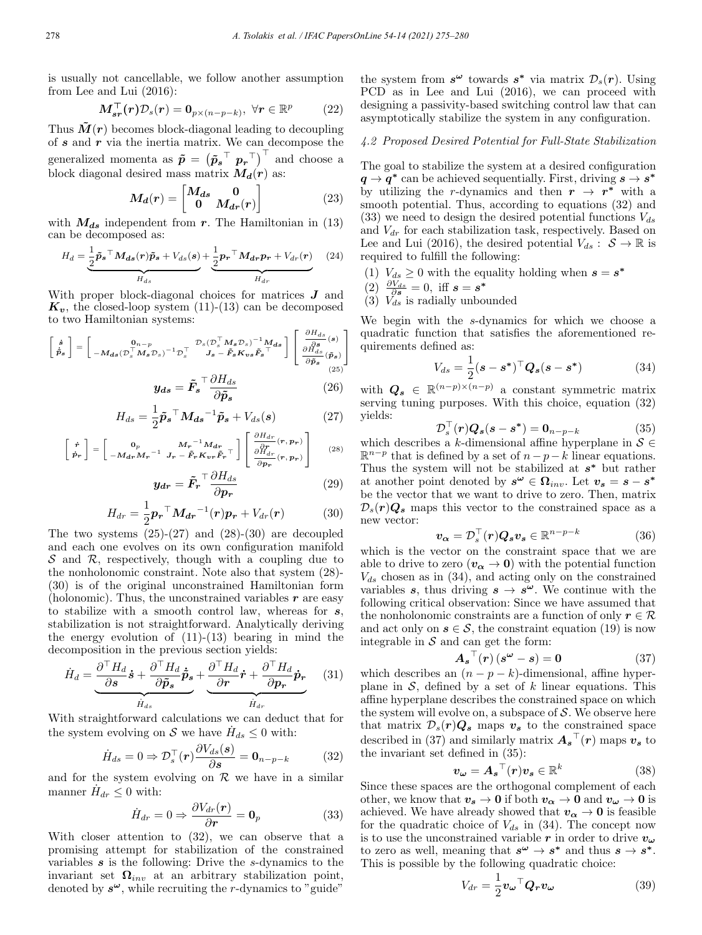is usually not cancellable, we follow another assumption from Lee and Lui (2016):

$$
\boldsymbol{M}_{\boldsymbol{s}\boldsymbol{r}}^{\top}(\boldsymbol{r})\mathcal{D}_{\boldsymbol{s}}(\boldsymbol{r})=\boldsymbol{0}_{p\times(n-p-k)},\ \forall\boldsymbol{r}\in\mathbb{R}^p\qquad(22)
$$

Thus  $\tilde{M}(r)$  becomes block-diagonal leading to decoupling of  $s$  and  $r$  via the inertia matrix. We can decompose the generalized momenta as  $\tilde{p} = (\tilde{p}_{s}^{\top} p_{r}^{\top})^{\top}$  and choose a block diagonal desired mass matrix  $M_d(r)$  as:

$$
M_d(r) = \begin{bmatrix} M_{ds} & 0\\ 0 & M_{dr}(r) \end{bmatrix}
$$
 (23)

with  $M_{ds}$  independent from r. The Hamiltonian in (13) can be decomposed as:

$$
H_d = \underbrace{\frac{1}{2}\tilde{p}_s \supseteq M_{ds}(r)\tilde{p}_s + V_{ds}(s)}_{H_{ds}} + \underbrace{\frac{1}{2}p_r \supseteq M_{dr}p_r + V_{dr}(r)}_{H_{dr}} \quad (24)
$$

With proper block-diagonal choices for matrices **J** and  $K_v$ , the closed-loop system (11)-(13) can be decomposed to two Hamiltonian systems:

$$
\begin{bmatrix} \dot{\mathbf{s}} \\ \dot{\mathbf{p}}_{s} \end{bmatrix} = \begin{bmatrix} \mathbf{0}_{n-p} & \mathcal{D}_{s} (\mathcal{D}_{s}^{\top} M_{s} \mathcal{D}_{s})^{-1} M_{ds} \\ -M_{ds} (\mathcal{D}_{s}^{\top} M_{s} \mathcal{D}_{s})^{-1} \mathcal{D}_{s}^{\top} & J_{s} - \tilde{F}_{s} K_{vs} \tilde{F}_{s}^{\top} \end{bmatrix} \begin{bmatrix} \frac{\partial H_{ds}}{\partial s} \\ \frac{\partial H_{ds}}{\partial \tilde{p}_{s}} \\ \frac{\partial H_{ds}}{\partial \tilde{p}_{s}} \\ \end{bmatrix} \tag{25}
$$

$$
y_{ds} = \tilde{F}_s^{\top} \frac{\partial H_{ds}}{\partial \tilde{p}_s}
$$
 (26)

$$
H_{ds} = \frac{1}{2} \tilde{\boldsymbol{p}}_{s}^{\top} \boldsymbol{M_{ds}}^{-1} \tilde{\boldsymbol{p}}_{s} + V_{ds}(s)
$$
 (27)

$$
\begin{bmatrix} \dot{r} \\ \dot{p}_r \end{bmatrix} = \begin{bmatrix} 0_p & M_r^{-1} M_{dr} \\ -M_{dr} M_r^{-1} & J_r - \tilde{F}_r K_{vr} \tilde{F}_r^{-1} \end{bmatrix} \begin{bmatrix} \frac{\partial H_{dr}}{\partial p_r}(r, p_r) \\ \frac{\partial H_{dr}}{\partial p_r}(r, p_r) \\ \frac{\partial F_r}{\partial p_r}(r, p_r) \end{bmatrix}
$$
(28)

$$
y_{dr} = \tilde{F}_r \frac{\partial H_{ds}}{\partial p_r} \tag{29}
$$

$$
H_{dr} = \frac{1}{2} \boldsymbol{p_r}^\top \boldsymbol{M_{dr}}^{-1}(\boldsymbol{r}) \boldsymbol{p_r} + V_{dr}(\boldsymbol{r}) \tag{30}
$$

The two systems  $(25)-(27)$  and  $(28)-(30)$  are decoupled and each one evolves on its own configuration manifold  $\mathcal S$  and  $\mathcal R$ , respectively, though with a coupling due to the nonholonomic constraint. Note also that system (28)- (30) is of the original unconstrained Hamiltonian form (holonomic). Thus, the unconstrained variables  $r$  are easy to stabilize with a smooth control law, whereas for s, stabilization is not straightforward. Analytically deriving the energy evolution of  $(11)-(13)$  bearing in mind the decomposition in the previous section yields:

$$
\dot{H}_d = \underbrace{\frac{\partial^{\top} H_d}{\partial s} \dot{s} + \frac{\partial^{\top} H_d}{\partial \tilde{p}_s} \dot{\tilde{p}}_s}_{\dot{H}_{ds}} + \underbrace{\frac{\partial^{\top} H_d}{\partial r} \dot{r} + \frac{\partial^{\top} H_d}{\partial p_r} \dot{p}_r}_{\dot{H}_{dr}} \quad (31)
$$

With straightforward calculations we can deduct that for the system evolving on S we have  $H_{ds} \leq 0$  with:

$$
\dot{H}_{ds} = 0 \Rightarrow \mathcal{D}_s^{\top}(\mathbf{r}) \frac{\partial V_{ds}(\mathbf{s})}{\partial \mathbf{s}} = \mathbf{0}_{n-p-k}
$$
(32)

and for the system evolving on  $\mathcal R$  we have in a similar manner  $H_{dr} \leq 0$  with:

$$
\dot{H}_{dr} = 0 \Rightarrow \frac{\partial V_{dr}(\mathbf{r})}{\partial \mathbf{r}} = \mathbf{0}_p \tag{33}
$$

With closer attention to (32), we can observe that a promising attempt for stabilization of the constrained variables  $s$  is the following: Drive the  $s$ -dynamics to the invariant set  $\Omega_{inv}$  at an arbitrary stabilization point, denoted by  $s^{\omega}$ , while recruiting the r-dynamics to "guide"

the system from  $s^{\omega}$  towards  $s^*$  via matrix  $\mathcal{D}_s(r)$ . Using PCD as in Lee and Lui (2016), we can proceed with designing a passivity-based switching control law that can asymptotically stabilize the system in any configuration.

## 4.2 Proposed Desired Potential for Full-State Stabilization

The goal to stabilize the system at a desired configuration  $q \rightarrow q^*$  can be achieved sequentially. First, driving  $s \rightarrow s^*$ by utilizing the r-dynamics and then  $r \to r^*$  with a smooth potential. Thus, according to equations (32) and (33) we need to design the desired potential functions  $V_{ds}$ and  $V_{dr}$  for each stabilization task, respectively. Based on Lee and Lui (2016), the desired potential  $V_{ds}$ :  $S \to \mathbb{R}$  is required to fulfill the following:

- (1)  $V_{ds} \geq 0$  with the equality holding when  $s = s^*$
- $\binom{2}{3} \frac{\partial V_{ds}}{\partial s} = 0$ , iff  $s = s^*$
- (3)  $V_{ds}$  is radially unbounded

We begin with the s-dynamics for which we choose a quadratic function that satisfies the aforementioned requirements defined as:

$$
V_{ds} = \frac{1}{2} (s - s^*)^\top Q_s (s - s^*)
$$
 (34)

with  $Q_s \in \mathbb{R}^{(n-p)\times(n-p)}$  a constant symmetric matrix serving tuning purposes. With this choice, equation (32) yields:

$$
\mathcal{D}_s^{\top}(\mathbf{r})\mathbf{Q}_s(s-s^*) = \mathbf{0}_{n-p-k} \tag{35}
$$

which describes a k-dimensional affine hyperplane in  $S \in \mathbb{R}^{n}$  $\mathbb{R}^{n-p}$  that is defined by a set of  $n-p-k$  linear equations. Thus the system will not be stabilized at  $s^*$  but rather at another point denoted by  $s^{\omega} \in \Omega_{inv}$ . Let  $v_s = s - s^*$ be the vector that we want to drive to zero. Then, matrix  $\mathcal{D}_s(r)Q_s$  maps this vector to the constrained space as a new vector:

$$
\boldsymbol{v_{\alpha}} = \mathcal{D}_s^{\top}(\boldsymbol{r}) \boldsymbol{Q_s} \boldsymbol{v_s} \in \mathbb{R}^{n-p-k}
$$
 (36)

which is the vector on the constraint space that we are able to drive to zero  $(v_{\alpha} \rightarrow 0)$  with the potential function  $V_{ds}$  chosen as in (34), and acting only on the constrained variables s, thus driving  $s \to s^{\omega}$ . We continue with the following critical observation: Since we have assumed that the nonholonomic constraints are a function of only  $r \in \mathcal{R}$ and act only on  $s \in \mathcal{S}$ , the constraint equation (19) is now integrable in  $S$  and can get the form:

$$
\mathbf{A_s}^\top(\mathbf{r})\left(s^{\omega} - s\right) = 0\tag{37}
$$

which describes an  $(n - p - k)$ -dimensional, affine hyperplane in  $S$ , defined by a set of k linear equations. This affine hyperplane describes the constrained space on which the system will evolve on, a subspace of  $S$ . We observe here that matrix  $\mathcal{D}_s(r)Q_s$  maps  $v_s$  to the constrained space described in (37) and similarly matrix  $A_{s}$ <sup> $\prime$ </sup> (r) maps  $v_{s}$  to the invariant set defined in (35):

$$
\boldsymbol{v}_{\boldsymbol{\omega}} = \boldsymbol{A_s}^\top(\boldsymbol{r})\boldsymbol{v_s} \in \mathbb{R}^k \tag{38}
$$

Since these spaces are the orthogonal complement of each other, we know that  $v_s \to 0$  if both  $v_\alpha \to 0$  and  $v_\omega \to 0$  is achieved. We have already showed that  $v_{\alpha} \rightarrow 0$  is feasible for the quadratic choice of  $V_{ds}$  in (34). The concept now is to use the unconstrained variable r in order to drive  $v_{\omega}$ to zero as well, meaning that  $s^{\omega} \to s^*$  and thus  $s \to s^*$ . This is possible by the following quadratic choice:

$$
V_{dr} = \frac{1}{2} \boldsymbol{v_{\omega}}^{\top} \boldsymbol{Q_r} \boldsymbol{v_{\omega}}
$$
 (39)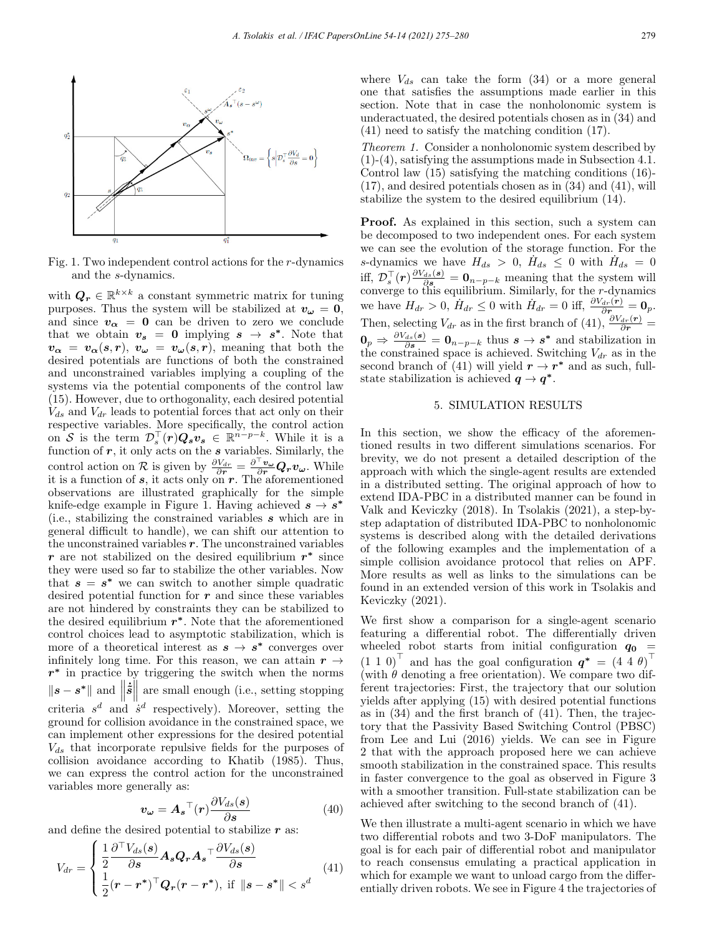

Fig. 1. Two independent control actions for the r-dynamics and the s-dynamics.

with  $\mathbf{Q}_r \in \mathbb{R}^{k \times k}$  a constant symmetric matrix for tuning purposes. Thus the system will be stabilized at  $v_{\omega} = 0$ , and since  $v_{\alpha} = 0$  can be driven to zero we conclude that we obtain  $v_s = 0$  implying  $s \to s^*$ . Note that  $v_{\alpha} = v_{\alpha}(s,r), v_{\omega} = v_{\omega}(s,r)$ , meaning that both the desired potentials are functions of both the constrained and unconstrained variables implying a coupling of the systems via the potential components of the control law (15). However, due to orthogonality, each desired potential  $V_{ds}$  and  $V_{dr}$  leads to potential forces that act only on their respective variables. More specifically, the control action on S is the term  $\mathcal{D}_s^{\top}(r)Q_s v_s \in \mathbb{R}^{n-p-k}$ . While it is a function of  $r$ , it only acts on the  $s$  variables. Similarly, the control action on R is given by  $\frac{\partial V_{dr}}{\partial r} = \frac{\partial^{\perp} \mathbf{v}_{\omega}}{\partial r} \mathbf{Q}_r \mathbf{v}_{\omega}$ . While it is a function of s, it acts only on r. The aforementioned observations are illustrated graphically for the simple knife-edge example in Figure 1. Having achieved  $s \rightarrow s^*$ (i.e., stabilizing the constrained variables s which are in general difficult to handle), we can shift our attention to the unconstrained variables  $r$ . The unconstrained variables r are not stabilized on the desired equilibrium  $r^*$  since they were used so far to stabilize the other variables. Now that  $s = s^*$  we can switch to another simple quadratic desired potential function for  $r$  and since these variables are not hindered by constraints they can be stabilized to the desired equilibrium  $r<sup>*</sup>$ . Note that the aforementioned control choices lead to asymptotic stabilization, which is more of a theoretical interest as  $s \to s^*$  converges over infinitely long time. For this reason, we can attain  $r \rightarrow$  $r^*$  in practice by triggering the switch when the norms  $\|\boldsymbol{s} - \boldsymbol{s}^*\|$  and  $\|\boldsymbol{\dot{\tilde{s}}}\|$  are small enough (i.e., setting stopping criteria  $s^d$  and  $\dot{s}^d$  respectively). Moreover, setting the ground for collision avoidance in the constrained space, we can implement other expressions for the desired potential  $V_{ds}$  that incorporate repulsive fields for the purposes of collision avoidance according to Khatib (1985). Thus, we can express the control action for the unconstrained variables more generally as:

$$
\boldsymbol{v}_{\boldsymbol{\omega}} = \boldsymbol{A_s}^\top(\boldsymbol{r}) \frac{\partial V_{ds}(\boldsymbol{s})}{\partial \boldsymbol{s}} \tag{40}
$$

and define the desired potential to stabilize  $r$  as:

$$
V_{dr} = \begin{cases} \frac{1}{2} \frac{\partial^{\top} V_{ds}(s)}{\partial s} \mathbf{A}_s \mathbf{Q}_r \mathbf{A}_s^{\top} \frac{\partial V_{ds}(s)}{\partial s} \\ \frac{1}{2} (\mathbf{r} - \mathbf{r}^*)^{\top} \mathbf{Q}_r (\mathbf{r} - \mathbf{r}^*) \text{, if } \|\mathbf{s} - \mathbf{s}^*\| < s^d \end{cases} \tag{41}
$$

where  $V_{ds}$  can take the form  $(34)$  or a more general one that satisfies the assumptions made earlier in this section. Note that in case the nonholonomic system is underactuated, the desired potentials chosen as in (34) and (41) need to satisfy the matching condition (17).

Theorem 1. Consider a nonholonomic system described by (1)-(4), satisfying the assumptions made in Subsection 4.1. Control law (15) satisfying the matching conditions (16)- (17), and desired potentials chosen as in (34) and (41), will stabilize the system to the desired equilibrium (14).

Proof. As explained in this section, such a system can be decomposed to two independent ones. For each system we can see the evolution of the storage function. For the s-dynamics we have  $H_{ds} > 0$ ,  $\dot{H}_{ds} \leq 0$  with  $\dot{H}_{ds} = 0$ iff,  $\mathcal{D}_{s}^{\top}(\boldsymbol{r})\frac{\partial V_{ds}(s)}{\partial s}=\mathbf{0}_{n-p-k}$  meaning that the system will converge to this equilibrium. Similarly, for the r-dynamics we have  $H_{dr} > 0$ ,  $\dot{H}_{dr} \leq 0$  with  $\dot{H}_{dr} = 0$  iff,  $\frac{\partial V_{dr}(r)}{\partial r_{ext}} = 0$ . Then, selecting  $V_{dr}$  as in the first branch of (41),  $\frac{\partial V_{dr}(\mathbf{r})}{\partial \mathbf{r}}$  =  $\mathbf{0}_p \Rightarrow \frac{\partial V_{ds}(s)}{\partial s} = \mathbf{0}_{n-p-k}$  thus  $s \rightarrow s^*$  and stabilization in the constrained space is achieved. Switching  $V_{dr}$  as in the second branch of (41) will yield  $r \to r^*$  and as such, fullstate stabilization is achieved  $q \to q^*$ .

### 5. SIMULATION RESULTS

In this section, we show the efficacy of the aforementioned results in two different simulations scenarios. For brevity, we do not present a detailed description of the approach with which the single-agent results are extended in a distributed setting. The original approach of how to extend IDA-PBC in a distributed manner can be found in Valk and Keviczky (2018). In Tsolakis (2021), a step-bystep adaptation of distributed IDA-PBC to nonholonomic systems is described along with the detailed derivations of the following examples and the implementation of a simple collision avoidance protocol that relies on APF. More results as well as links to the simulations can be found in an extended version of this work in Tsolakis and Keviczky (2021).

We first show a comparison for a single-agent scenario featuring a differential robot. The differentially driven wheeled robot starts from initial configuration  $q_0$  =  $(1\;1\;0)^{\top}$  and has the goal configuration  $q^* = (4\;4\;\theta)^{\top}$ (with  $\theta$  denoting a free orientation). We compare two different trajectories: First, the trajectory that our solution yields after applying (15) with desired potential functions as in (34) and the first branch of (41). Then, the trajectory that the Passivity Based Switching Control (PBSC) from Lee and Lui (2016) yields. We can see in Figure 2 that with the approach proposed here we can achieve smooth stabilization in the constrained space. This results in faster convergence to the goal as observed in Figure 3 with a smoother transition. Full-state stabilization can be achieved after switching to the second branch of (41).

We then illustrate a multi-agent scenario in which we have two differential robots and two 3-DoF manipulators. The goal is for each pair of differential robot and manipulator to reach consensus emulating a practical application in which for example we want to unload cargo from the differentially driven robots. We see in Figure 4 the trajectories of